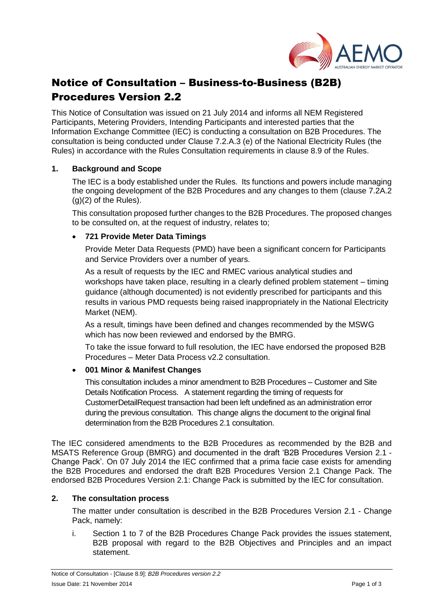

# Notice of Consultation – Business-to-Business (B2B) Procedures Version 2.2

This Notice of Consultation was issued on 21 July 2014 and informs all NEM Registered Participants, Metering Providers, Intending Participants and interested parties that the Information Exchange Committee (IEC) is conducting a consultation on B2B Procedures. The consultation is being conducted under Clause 7.2.A.3 (e) of the National Electricity Rules (the Rules) in accordance with the Rules Consultation requirements in clause 8.9 of the Rules.

### **1. Background and Scope**

The IEC is a body established under the Rules. Its functions and powers include managing the ongoing development of the B2B Procedures and any changes to them (clause 7.2A.2  $(g)(2)$  of the Rules).

This consultation proposed further changes to the B2B Procedures. The proposed changes to be consulted on, at the request of industry, relates to;

## **721 Provide Meter Data Timings**

Provide Meter Data Requests (PMD) have been a significant concern for Participants and Service Providers over a number of years.

As a result of requests by the IEC and RMEC various analytical studies and workshops have taken place, resulting in a clearly defined problem statement – timing guidance (although documented) is not evidently prescribed for participants and this results in various PMD requests being raised inappropriately in the National Electricity Market (NEM).

As a result, timings have been defined and changes recommended by the MSWG which has now been reviewed and endorsed by the BMRG.

To take the issue forward to full resolution, the IEC have endorsed the proposed B2B Procedures – Meter Data Process v2.2 consultation.

## **001 Minor & Manifest Changes**

This consultation includes a minor amendment to B2B Procedures – Customer and Site Details Notification Process. A statement regarding the timing of requests for CustomerDetailRequest transaction had been left undefined as an administration error during the previous consultation. This change aligns the document to the original final determination from the B2B Procedures 2.1 consultation.

The IEC considered amendments to the B2B Procedures as recommended by the B2B and MSATS Reference Group (BMRG) and documented in the draft 'B2B Procedures Version 2.1 - Change Pack'. On 07 July 2014 the IEC confirmed that a prima facie case exists for amending the B2B Procedures and endorsed the draft B2B Procedures Version 2.1 Change Pack. The endorsed B2B Procedures Version 2.1: Change Pack is submitted by the IEC for consultation.

### **2. The consultation process**

The matter under consultation is described in the B2B Procedures Version 2.1 - Change Pack, namely:

i. Section 1 to 7 of the B2B Procedures Change Pack provides the issues statement, B2B proposal with regard to the B2B Objectives and Principles and an impact statement.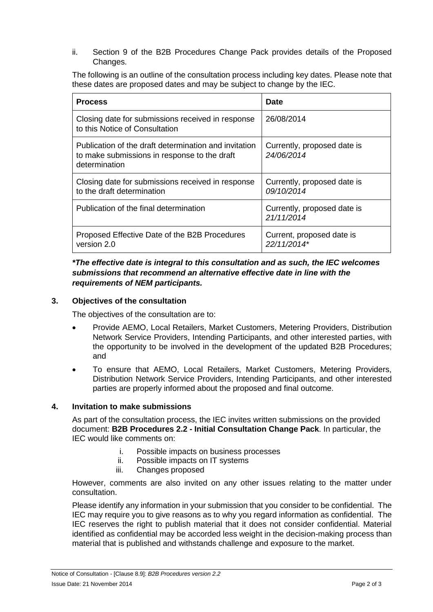ii. Section 9 of the B2B Procedures Change Pack provides details of the Proposed Changes.

The following is an outline of the consultation process including key dates. Please note that these dates are proposed dates and may be subject to change by the IEC.

| <b>Process</b>                                                                                                         | Date                                      |
|------------------------------------------------------------------------------------------------------------------------|-------------------------------------------|
| Closing date for submissions received in response<br>to this Notice of Consultation                                    | 26/08/2014                                |
| Publication of the draft determination and invitation<br>to make submissions in response to the draft<br>determination | Currently, proposed date is<br>24/06/2014 |
| Closing date for submissions received in response<br>to the draft determination                                        | Currently, proposed date is<br>09/10/2014 |
| Publication of the final determination                                                                                 | Currently, proposed date is<br>21/11/2014 |
| Proposed Effective Date of the B2B Procedures<br>version 2.0                                                           | Current, proposed date is<br>22/11/2014*  |

*\*The effective date is integral to this consultation and as such, the IEC welcomes submissions that recommend an alternative effective date in line with the requirements of NEM participants.*

## **3. Objectives of the consultation**

The objectives of the consultation are to:

- Provide AEMO, Local Retailers, Market Customers, Metering Providers, Distribution Network Service Providers, Intending Participants, and other interested parties, with the opportunity to be involved in the development of the updated B2B Procedures; and
- To ensure that AEMO, Local Retailers, Market Customers, Metering Providers, Distribution Network Service Providers, Intending Participants, and other interested parties are properly informed about the proposed and final outcome.

### **4. Invitation to make submissions**

As part of the consultation process, the IEC invites written submissions on the provided document: **B2B Procedures 2.2 - Initial Consultation Change Pack**. In particular, the IEC would like comments on:

- i. Possible impacts on business processes
- ii. Possible impacts on IT systems
- iii. Changes proposed

However, comments are also invited on any other issues relating to the matter under consultation.

Please identify any information in your submission that you consider to be confidential. The IEC may require you to give reasons as to why you regard information as confidential. The IEC reserves the right to publish material that it does not consider confidential. Material identified as confidential may be accorded less weight in the decision-making process than material that is published and withstands challenge and exposure to the market.